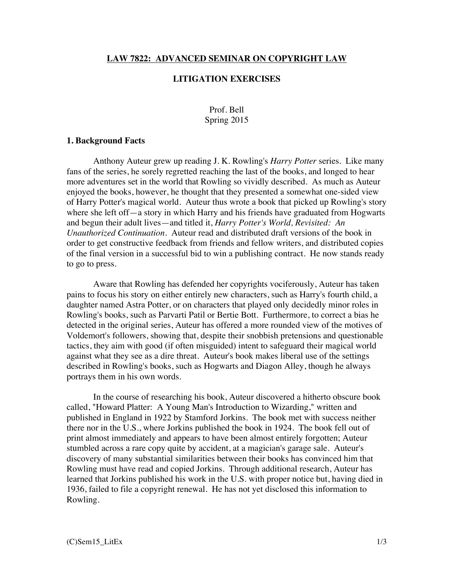#### **LAW 7822: ADVANCED SEMINAR ON COPYRIGHT LAW**

## **LITIGATION EXERCISES**

# Prof. Bell Spring 2015

#### **1. Background Facts**

Anthony Auteur grew up reading J. K. Rowling's *Harry Potter* series. Like many fans of the series, he sorely regretted reaching the last of the books, and longed to hear more adventures set in the world that Rowling so vividly described. As much as Auteur enjoyed the books, however, he thought that they presented a somewhat one-sided view of Harry Potter's magical world. Auteur thus wrote a book that picked up Rowling's story where she left of f—a story in which Harry and his friends have graduated from Hogwarts and begun their adult lives—and titled it, *Harry Potter's World, Revisited: An Unauthorized Continuation*. Auteur read and distributed draft versions of the book in order to get constructive feedback from friends and fellow writers, and distributed copies of the final version in a successful bid to win a publishing contract. He now stands ready to go to press.

Aware that Rowling has defended her copyrights vociferously, Auteur has taken pains to focus his story on either entirely new characters, such as Harry's fourth child, a daughter named Astra Potter, or on characters that played only decidedly minor roles in Rowling's books, such as Parvarti Patil or Bertie Bott. Furthermore, to correct a bias he detected in the original series, Auteur has offered a more rounded view of the motives of Voldemort's followers, showing that, despite their snobbish pretensions and questionable tactics, they aim with good (if often misguided) intent to safeguard their magical world against what they see as a dire threat. Auteur's book makes liberal use of the settings described in Rowling's books, such as Hogwarts and Diagon Alley, though he always portrays them in his own words.

In the course of researching his book, Auteur discovered a hitherto obscure book called, "Howard Platter: A Young Man's Introduction to Wizarding," written and published in England in 1922 by Stamford Jorkins. The book met with success neither there nor in the U.S., where Jorkins published the book in 1924. The book fell out of print almost immediately and appears to have been almost entirely forgotten; Auteur stumbled across a rare copy quite by accident, at a magician's garage sale. Auteur's discovery of many substantial similarities between their books has convinced him that Rowling must have read and copied Jorkins. Through additional research, Auteur has learned that Jorkins published his work in the U.S. with proper notice but, having died in 1936, failed to file a copyright renewal. He has not yet disclosed this information to Rowling.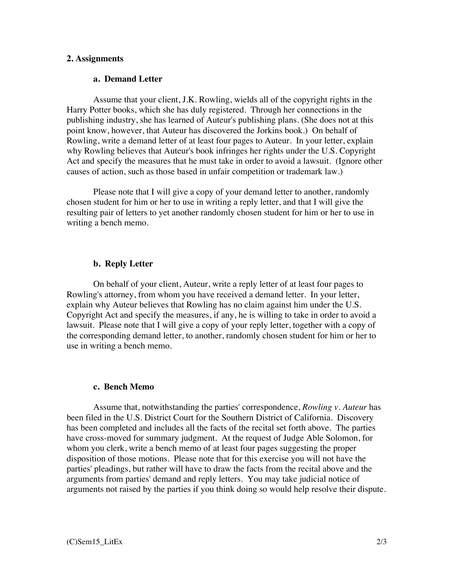### **2. Assignments**

#### **a. Demand Letter**

Assume that your client, J.K. Rowling, wields all of the copyright rights in the Harry Potter books, which she has duly registered. Through her connections in the publishing industry, she has learned of Auteur's publishing plans. (She does not at this point know, however, that Auteur has discovered the Jorkins book.) On behalf of Rowling, write a demand letter of at least four pages to Auteur. In your letter, explain why Rowling believes that Auteur's book infringes her rights under the U.S. Copyright Act and specify the measures that he must take in order to avoid a lawsuit. (Ignore other causes of action, such as those based in unfair competition or trademark law.)

Please note that I will give a copy of your demand letter to another, randomly chosen student for him or her to use in writing a reply letter, and that I will give the resulting pair of letters to yet another randomly chosen student for him or her to use in writing a bench memo.

#### **b. Reply Letter**

On behalf of your client, Auteur, write a reply letter of at least four pages to Rowling's attorney, from whom you have received a demand letter. In your letter, explain why Auteur believes that Rowling has no claim against him under the U.S. Copyright Act and specify the measures, if any, he is willing to take in order to avoid a lawsuit. Please note that I will give a copy of your reply letter, together with a copy of the corresponding demand letter, to another, randomly chosen student for him or her to use in writing a bench memo.

## **c. Bench Memo**

Assume that, notwithstanding the parties' correspondence, *Rowling v. Auteur* has been filed in the U.S. District Court for the Southern District of California. Discovery has been completed and includes all the facts of the recital set forth above. The parties have cross-moved for summary judgment. At the request of Judge Able Solomon, for whom you clerk, write a bench memo of at least four pages suggesting the proper disposition of those motions. Please note that for this exercise you will not have the parties' pleadings, but rather will have to draw the facts from the recital above and the arguments from parties' demand and reply letters. You may take judicial notice of arguments not raised by the parties if you think doing so would help resolve their dispute.